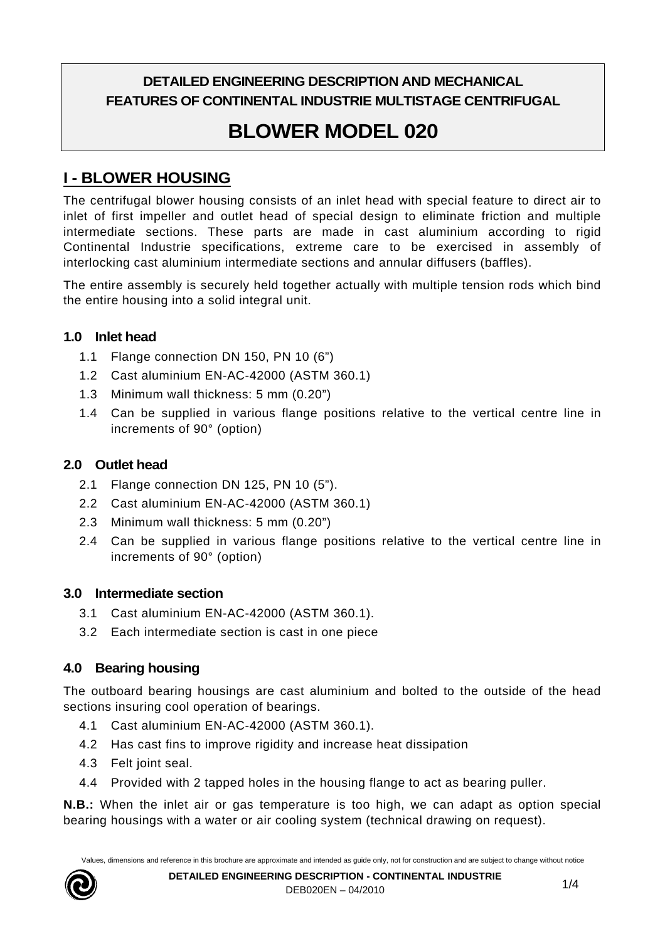## **DETAILED ENGINEERING DESCRIPTION AND MECHANICAL FEATURES OF CONTINENTAL INDUSTRIE MULTISTAGE CENTRIFUGAL**

# **BLOWER MODEL 020**

# **I - BLOWER HOUSING**

The centrifugal blower housing consists of an inlet head with special feature to direct air to inlet of first impeller and outlet head of special design to eliminate friction and multiple intermediate sections. These parts are made in cast aluminium according to rigid Continental Industrie specifications, extreme care to be exercised in assembly of interlocking cast aluminium intermediate sections and annular diffusers (baffles).

The entire assembly is securely held together actually with multiple tension rods which bind the entire housing into a solid integral unit.

#### **1.0 Inlet head**

- 1.1 Flange connection DN 150, PN 10 (6")
- 1.2 Cast aluminium EN-AC-42000 (ASTM 360.1)
- 1.3 Minimum wall thickness: 5 mm (0.20")
- 1.4 Can be supplied in various flange positions relative to the vertical centre line in increments of 90° (option)

#### **2.0 Outlet head**

- 2.1 Flange connection DN 125, PN 10 (5").
- 2.2 Cast aluminium EN-AC-42000 (ASTM 360.1)
- 2.3 Minimum wall thickness: 5 mm (0.20")
- 2.4 Can be supplied in various flange positions relative to the vertical centre line in increments of 90° (option)

#### **3.0 Intermediate section**

- 3.1 Cast aluminium EN-AC-42000 (ASTM 360.1).
- 3.2 Each intermediate section is cast in one piece

#### **4.0 Bearing housing**

The outboard bearing housings are cast aluminium and bolted to the outside of the head sections insuring cool operation of bearings.

- 4.1 Cast aluminium EN-AC-42000 (ASTM 360.1).
- 4.2 Has cast fins to improve rigidity and increase heat dissipation
- 4.3 Felt joint seal.
- 4.4 Provided with 2 tapped holes in the housing flange to act as bearing puller.

**N.B.:** When the inlet air or gas temperature is too high, we can adapt as option special bearing housings with a water or air cooling system (technical drawing on request).

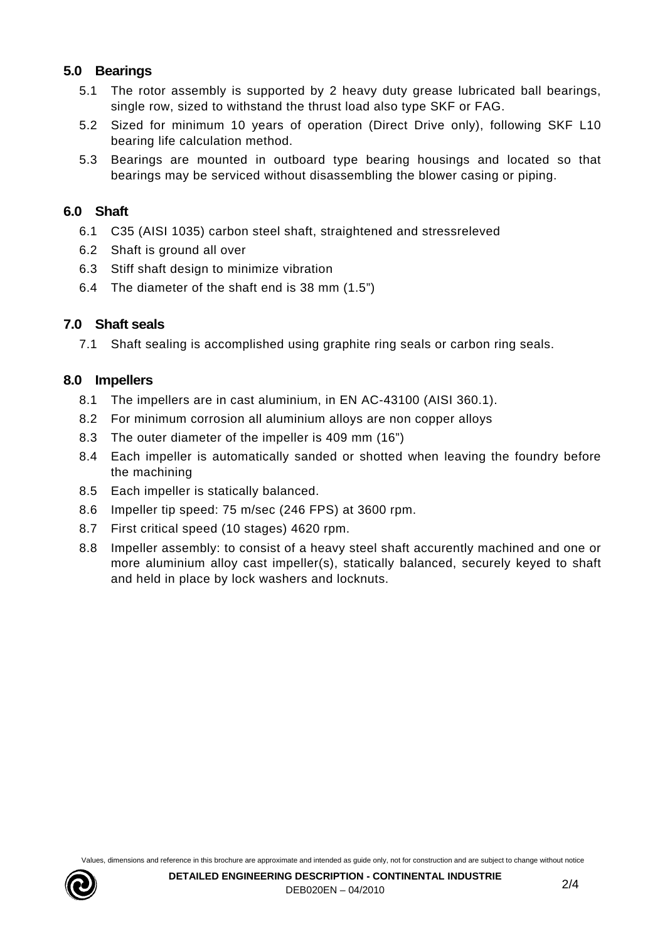#### **5.0 Bearings**

- 5.1 The rotor assembly is supported by 2 heavy duty grease lubricated ball bearings, single row, sized to withstand the thrust load also type SKF or FAG.
- 5.2 Sized for minimum 10 years of operation (Direct Drive only), following SKF L10 bearing life calculation method.
- 5.3 Bearings are mounted in outboard type bearing housings and located so that bearings may be serviced without disassembling the blower casing or piping.

#### **6.0 Shaft**

- 6.1 C35 (AISI 1035) carbon steel shaft, straightened and stressreleved
- 6.2 Shaft is ground all over
- 6.3 Stiff shaft design to minimize vibration
- 6.4 The diameter of the shaft end is 38 mm (1.5")

#### **7.0 Shaft seals**

7.1 Shaft sealing is accomplished using graphite ring seals or carbon ring seals.

#### **8.0 Impellers**

- 8.1 The impellers are in cast aluminium, in EN AC-43100 (AISI 360.1).
- 8.2 For minimum corrosion all aluminium alloys are non copper alloys
- 8.3 The outer diameter of the impeller is 409 mm (16")
- 8.4 Each impeller is automatically sanded or shotted when leaving the foundry before the machining
- 8.5 Each impeller is statically balanced.
- 8.6 Impeller tip speed: 75 m/sec (246 FPS) at 3600 rpm.
- 8.7 First critical speed (10 stages) 4620 rpm.
- 8.8 Impeller assembly: to consist of a heavy steel shaft accurently machined and one or more aluminium alloy cast impeller(s), statically balanced, securely keyed to shaft and held in place by lock washers and locknuts.

Values, dimensions and reference in this brochure are approximate and intended as guide only, not for construction and are subject to change without notice

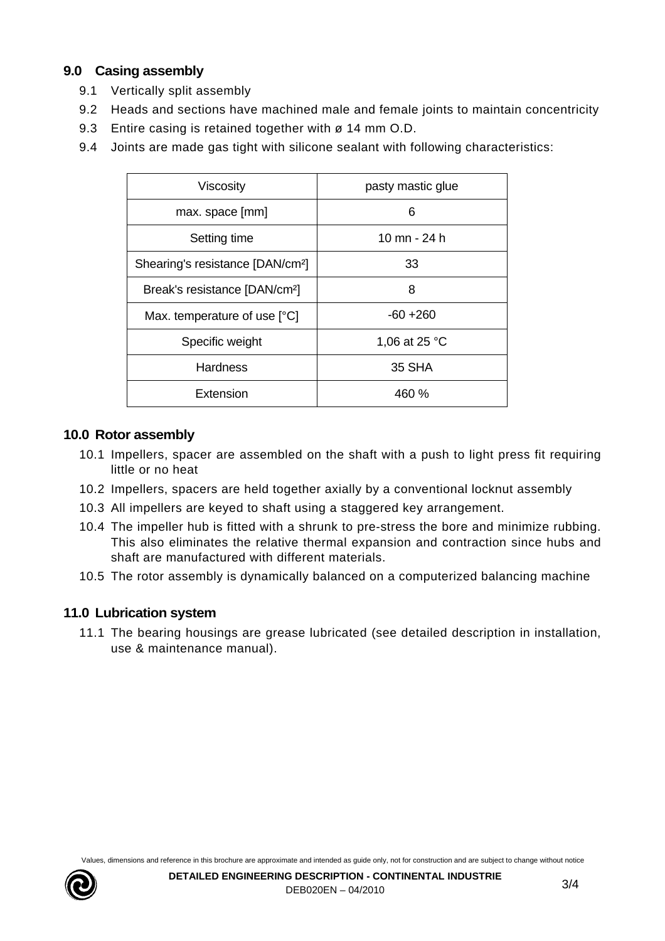#### **9.0 Casing assembly**

- 9.1 Vertically split assembly
- 9.2 Heads and sections have machined male and female joints to maintain concentricity
- 9.3 Entire casing is retained together with ø 14 mm O.D.
- 9.4 Joints are made gas tight with silicone sealant with following characteristics:

| Viscosity                                    | pasty mastic glue |
|----------------------------------------------|-------------------|
| max. space [mm]                              | 6                 |
| Setting time                                 | 10 mn - 24 h      |
| Shearing's resistance [DAN/cm <sup>2</sup> ] | 33                |
| Break's resistance [DAN/cm <sup>2</sup> ]    | 8                 |
| Max. temperature of use [°C]                 | $-60 + 260$       |
| Specific weight                              | 1,06 at 25 °C     |
| <b>Hardness</b>                              | 35 SHA            |
| Extension                                    | 460 %             |

#### **10.0 Rotor assembly**

- 10.1 Impellers, spacer are assembled on the shaft with a push to light press fit requiring little or no heat
- 10.2 Impellers, spacers are held together axially by a conventional locknut assembly
- 10.3 All impellers are keyed to shaft using a staggered key arrangement.
- 10.4 The impeller hub is fitted with a shrunk to pre-stress the bore and minimize rubbing. This also eliminates the relative thermal expansion and contraction since hubs and shaft are manufactured with different materials.
- 10.5 The rotor assembly is dynamically balanced on a computerized balancing machine

#### **11.0 Lubrication system**

11.1 The bearing housings are grease lubricated (see detailed description in installation, use & maintenance manual).